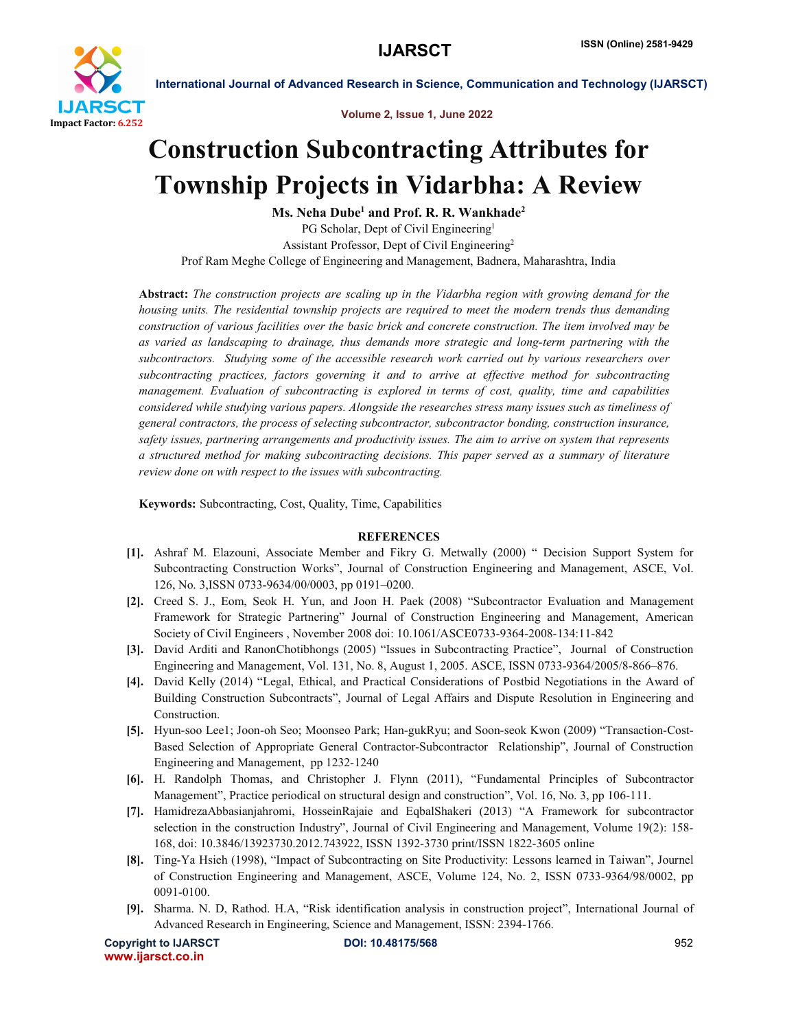

International Journal of Advanced Research in Science, Communication and Technology (IJARSCT)

Volume 2, Issue 1, June 2022

## Construction Subcontracting Attributes for Township Projects in Vidarbha: A Review

Ms. Neha Dube<sup>1</sup> and Prof. R. R. Wankhade<sup>2</sup> PG Scholar, Dept of Civil Engineering<sup>1</sup> Assistant Professor, Dept of Civil Engineering2 Prof Ram Meghe College of Engineering and Management, Badnera, Maharashtra, India

Abstract: *The construction projects are scaling up in the Vidarbha region with growing demand for the housing units. The residential township projects are required to meet the modern trends thus demanding construction of various facilities over the basic brick and concrete construction. The item involved may be as varied as landscaping to drainage, thus demands more strategic and long-term partnering with the subcontractors. Studying some of the accessible research work carried out by various researchers over subcontracting practices, factors governing it and to arrive at effective method for subcontracting management. Evaluation of subcontracting is explored in terms of cost, quality, time and capabilities considered while studying various papers. Alongside the researches stress many issues such as timeliness of general contractors, the process of selecting subcontractor, subcontractor bonding, construction insurance, safety issues, partnering arrangements and productivity issues. The aim to arrive on system that represents a structured method for making subcontracting decisions. This paper served as a summary of literature review done on with respect to the issues with subcontracting.*

Keywords: Subcontracting, Cost, Quality, Time, Capabilities

## **REFERENCES**

- [1]. Ashraf M. Elazouni, Associate Member and Fikry G. Metwally (2000) " Decision Support System for Subcontracting Construction Works", Journal of Construction Engineering and Management, ASCE, Vol. 126, No. 3,ISSN 0733-9634/00/0003, pp 0191–0200.
- [2]. Creed S. J., Eom, Seok H. Yun, and Joon H. Paek (2008) "Subcontractor Evaluation and Management Framework for Strategic Partnering" Journal of Construction Engineering and Management, American Society of Civil Engineers , November 2008 doi: 10.1061/ASCE0733-9364-2008-134:11-842
- [3]. David Arditi and RanonChotibhongs (2005) "Issues in Subcontracting Practice", Journal of Construction Engineering and Management, Vol. 131, No. 8, August 1, 2005. ASCE, ISSN 0733-9364/2005/8-866–876.
- [4]. David Kelly (2014) "Legal, Ethical, and Practical Considerations of Postbid Negotiations in the Award of Building Construction Subcontracts", Journal of Legal Affairs and Dispute Resolution in Engineering and Construction.
- [5]. Hyun-soo Lee1; Joon-oh Seo; Moonseo Park; Han-gukRyu; and Soon-seok Kwon (2009) "Transaction-Cost-Based Selection of Appropriate General Contractor-Subcontractor Relationship", Journal of Construction Engineering and Management, pp 1232-1240
- [6]. H. Randolph Thomas, and Christopher J. Flynn (2011), "Fundamental Principles of Subcontractor Management", Practice periodical on structural design and construction", Vol. 16, No. 3, pp 106-111.
- [7]. HamidrezaAbbasianjahromi, HosseinRajaie and EqbalShakeri (2013) "A Framework for subcontractor selection in the construction Industry", Journal of Civil Engineering and Management, Volume 19(2): 158- 168, doi: 10.3846/13923730.2012.743922, ISSN 1392-3730 print/ISSN 1822-3605 online
- [8]. Ting-Ya Hsieh (1998), "Impact of Subcontracting on Site Productivity: Lessons learned in Taiwan", Journel of Construction Engineering and Management, ASCE, Volume 124, No. 2, ISSN 0733-9364/98/0002, pp 0091-0100.
- [9]. Sharma. N. D, Rathod. H.A, "Risk identification analysis in construction project", International Journal of Advanced Research in Engineering, Science and Management, ISSN: 2394-1766.

Copyright to IJARSCT **DOI: 10.48175/568** 952 www.ijarsct.co.in